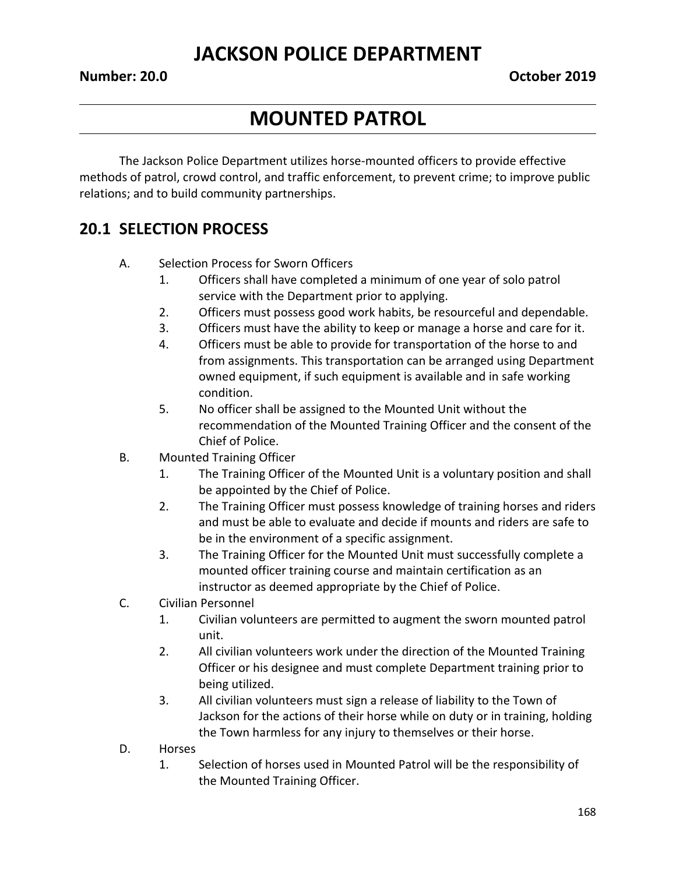# **MOUNTED PATROL**

The Jackson Police Department utilizes horse-mounted officers to provide effective methods of patrol, crowd control, and traffic enforcement, to prevent crime; to improve public relations; and to build community partnerships.

## **20.1 SELECTION PROCESS**

- A. Selection Process for Sworn Officers
	- 1. Officers shall have completed a minimum of one year of solo patrol service with the Department prior to applying.
	- 2. Officers must possess good work habits, be resourceful and dependable.
	- 3. Officers must have the ability to keep or manage a horse and care for it.
	- 4. Officers must be able to provide for transportation of the horse to and from assignments. This transportation can be arranged using Department owned equipment, if such equipment is available and in safe working condition.
	- 5. No officer shall be assigned to the Mounted Unit without the recommendation of the Mounted Training Officer and the consent of the Chief of Police.
- B. Mounted Training Officer
	- 1. The Training Officer of the Mounted Unit is a voluntary position and shall be appointed by the Chief of Police.
	- 2. The Training Officer must possess knowledge of training horses and riders and must be able to evaluate and decide if mounts and riders are safe to be in the environment of a specific assignment.
	- 3. The Training Officer for the Mounted Unit must successfully complete a mounted officer training course and maintain certification as an instructor as deemed appropriate by the Chief of Police.
- C. Civilian Personnel
	- 1. Civilian volunteers are permitted to augment the sworn mounted patrol unit.
	- 2. All civilian volunteers work under the direction of the Mounted Training Officer or his designee and must complete Department training prior to being utilized.
	- 3. All civilian volunteers must sign a release of liability to the Town of Jackson for the actions of their horse while on duty or in training, holding the Town harmless for any injury to themselves or their horse.
- D. Horses
	- 1. Selection of horses used in Mounted Patrol will be the responsibility of the Mounted Training Officer.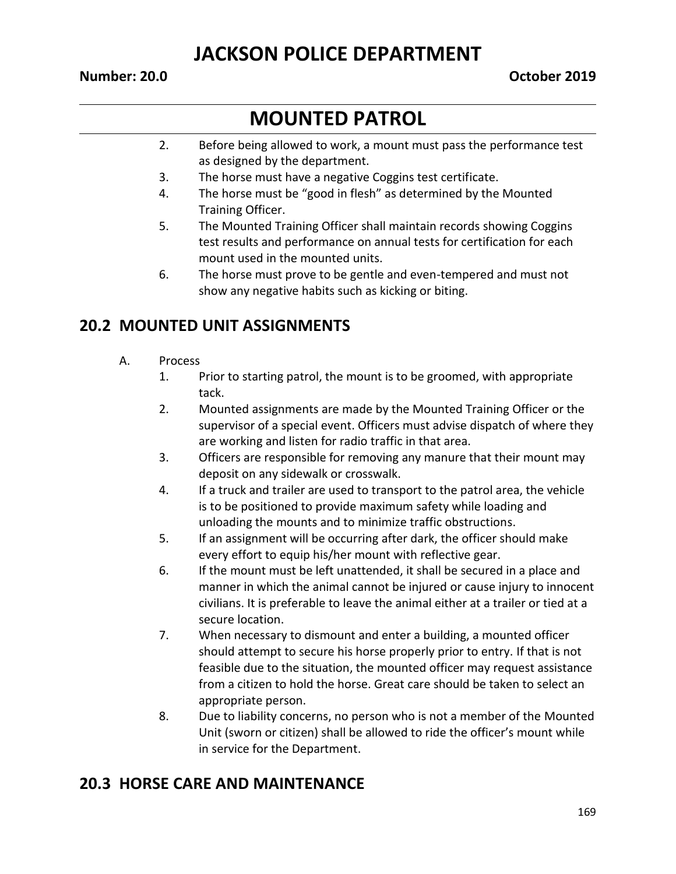#### **Number: 20.0 October 2019**

# **MOUNTED PATROL**

- 2. Before being allowed to work, a mount must pass the performance test as designed by the department.
- 3. The horse must have a negative Coggins test certificate.
- 4. The horse must be "good in flesh" as determined by the Mounted Training Officer.
- 5. The Mounted Training Officer shall maintain records showing Coggins test results and performance on annual tests for certification for each mount used in the mounted units.
- 6. The horse must prove to be gentle and even-tempered and must not show any negative habits such as kicking or biting.

## **20.2 MOUNTED UNIT ASSIGNMENTS**

- A. Process
	- 1. Prior to starting patrol, the mount is to be groomed, with appropriate tack.
	- 2. Mounted assignments are made by the Mounted Training Officer or the supervisor of a special event. Officers must advise dispatch of where they are working and listen for radio traffic in that area.
	- 3. Officers are responsible for removing any manure that their mount may deposit on any sidewalk or crosswalk.
	- 4. If a truck and trailer are used to transport to the patrol area, the vehicle is to be positioned to provide maximum safety while loading and unloading the mounts and to minimize traffic obstructions.
	- 5. If an assignment will be occurring after dark, the officer should make every effort to equip his/her mount with reflective gear.
	- 6. If the mount must be left unattended, it shall be secured in a place and manner in which the animal cannot be injured or cause injury to innocent civilians. It is preferable to leave the animal either at a trailer or tied at a secure location.
	- 7. When necessary to dismount and enter a building, a mounted officer should attempt to secure his horse properly prior to entry. If that is not feasible due to the situation, the mounted officer may request assistance from a citizen to hold the horse. Great care should be taken to select an appropriate person.
	- 8. Due to liability concerns, no person who is not a member of the Mounted Unit (sworn or citizen) shall be allowed to ride the officer's mount while in service for the Department.

### **20.3 HORSE CARE AND MAINTENANCE**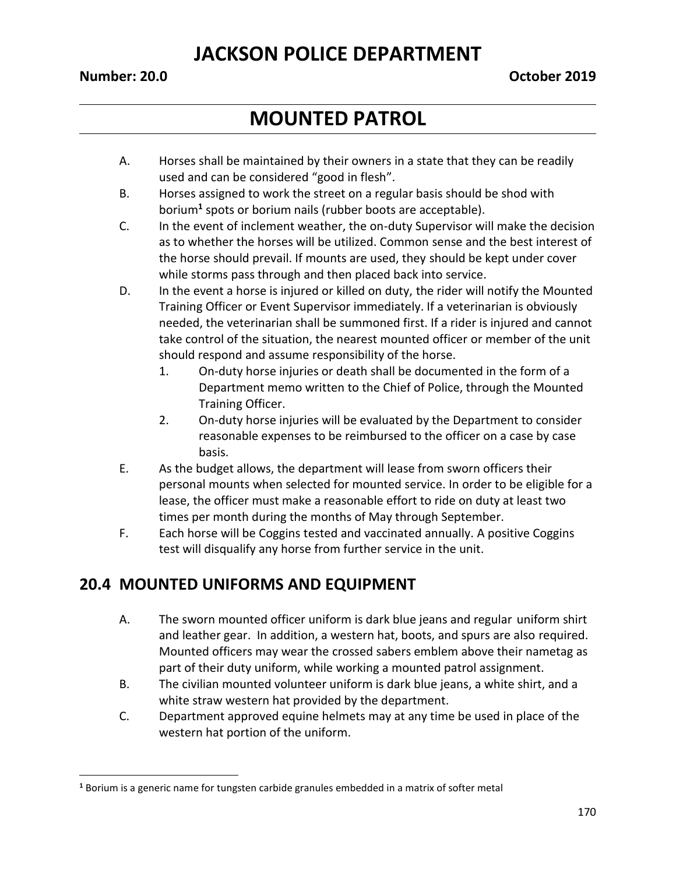#### **Number: 20.0 October 2019**

 $\overline{\phantom{a}}$ 

# **MOUNTED PATROL**

- A. Horses shall be maintained by their owners in a state that they can be readily used and can be considered "good in flesh".
- B. Horses assigned to work the street on a regular basis should be shod with borium**<sup>1</sup>** spots or borium nails (rubber boots are acceptable).
- C. In the event of inclement weather, the on-duty Supervisor will make the decision as to whether the horses will be utilized. Common sense and the best interest of the horse should prevail. If mounts are used, they should be kept under cover while storms pass through and then placed back into service.
- D. In the event a horse is injured or killed on duty, the rider will notify the Mounted Training Officer or Event Supervisor immediately. If a veterinarian is obviously needed, the veterinarian shall be summoned first. If a rider is injured and cannot take control of the situation, the nearest mounted officer or member of the unit should respond and assume responsibility of the horse.
	- 1. On-duty horse injuries or death shall be documented in the form of a Department memo written to the Chief of Police, through the Mounted Training Officer.
	- 2. On-duty horse injuries will be evaluated by the Department to consider reasonable expenses to be reimbursed to the officer on a case by case basis.
- E. As the budget allows, the department will lease from sworn officers their personal mounts when selected for mounted service. In order to be eligible for a lease, the officer must make a reasonable effort to ride on duty at least two times per month during the months of May through September.
- F. Each horse will be Coggins tested and vaccinated annually. A positive Coggins test will disqualify any horse from further service in the unit.

## **20.4 MOUNTED UNIFORMS AND EQUIPMENT**

- A. The sworn mounted officer uniform is dark blue jeans and regular uniform shirt and leather gear. In addition, a western hat, boots, and spurs are also required. Mounted officers may wear the crossed sabers emblem above their nametag as part of their duty uniform, while working a mounted patrol assignment.
- B. The civilian mounted volunteer uniform is dark blue jeans, a white shirt, and a white straw western hat provided by the department.
- C. Department approved equine helmets may at any time be used in place of the western hat portion of the uniform.

**<sup>1</sup>** Borium is a generic name for tungsten carbide granules embedded in a matrix of softer metal